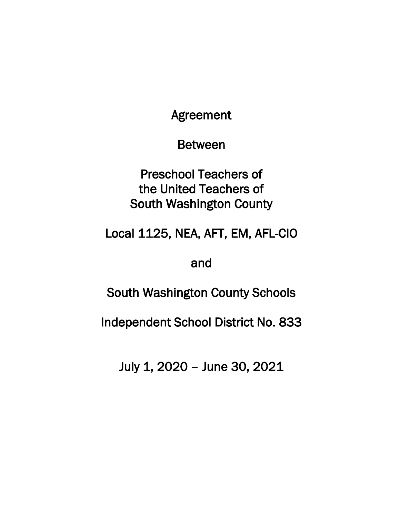Agreement

Between

Preschool Teachers of the United Teachers of South Washington County

Local 1125, NEA, AFT, EM, AFL-CIO

and

South Washington County Schools

Independent School District No. 833

July 1, 2020 – June 30, 2021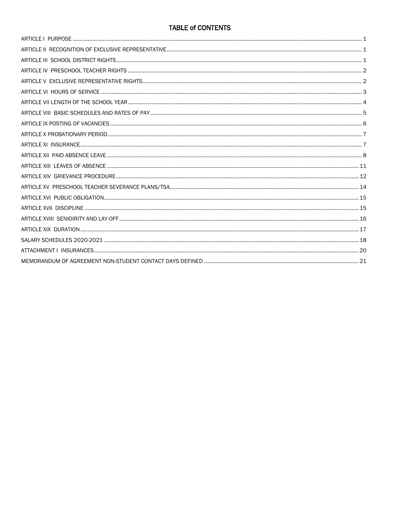# **TABLE of CONTENTS**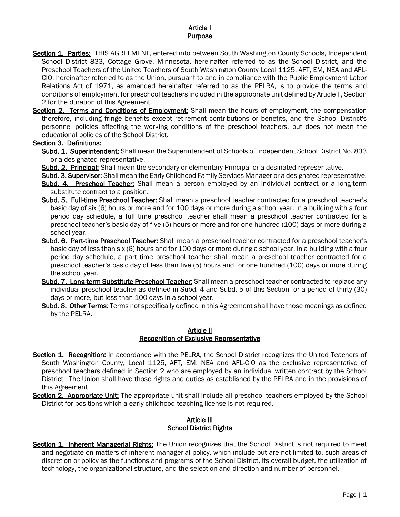## Article I **Purpose**

- <span id="page-2-0"></span>Section 1. Parties: THIS AGREEMENT, entered into between South Washington County Schools, Independent School District 833, Cottage Grove, Minnesota, hereinafter referred to as the School District, and the Preschool Teachers of the United Teachers of South Washington County Local 1125, AFT, EM, NEA and AFL-CIO, hereinafter referred to as the Union, pursuant to and in compliance with the Public Employment Labor Relations Act of 1971, as amended hereinafter referred to as the PELRA, is to provide the terms and conditions of employment for preschool teachers included in the appropriate unit defined by Article II, Section 2 for the duration of this Agreement.
- Section 2. Terms and Conditions of Employment: Shall mean the hours of employment, the compensation therefore, including fringe benefits except retirement contributions or benefits, and the School District's personnel policies affecting the working conditions of the preschool teachers, but does not mean the educational policies of the School District.

### Section 3. Definitions:

- Subd. 1. Superintendent: Shall mean the Superintendent of Schools of Independent School District No. 833 or a designated representative.
- Subd. 2. Principal: Shall mean the secondary or elementary Principal or a desinated representative.
- Subd. 3. Supervisor: Shall mean the Early Childhood Family Services Manager or a designated representative.
- Subd. 4. Preschool Teacher: Shall mean a person employed by an individual contract or a long-term substitute contract to a position.
- Subd. 5. Full-time Preschool Teacher: Shall mean a preschool teacher contracted for a preschool teacher's basic day of six (6) hours or more and for 100 days or more during a school year. In a building with a four period day schedule, a full time preschool teacher shall mean a preschool teacher contracted for a preschool teacher's basic day of five (5) hours or more and for one hundred (100) days or more during a school year.
- Subd. 6. Part-time Preschool Teacher: Shall mean a preschool teacher contracted for a preschool teacher's basic day of less than six (6) hours and for 100 days or more during a school year. In a building with a four period day schedule, a part time preschool teacher shall mean a preschool teacher contracted for a preschool teacher's basic day of less than five (5) hours and for one hundred (100) days or more during the school year.
- Subd. 7. Long-term Substitute Preschool Teacher: Shall mean a preschool teacher contracted to replace any individual preschool teacher as defined in Subd. 4 and Subd. 5 of this Section for a period of thirty (30) days or more, but less than 100 days in a school year.
- Subd. 8. Other Terms: Terms not specifically defined in this Agreement shall have those meanings as defined by the PELRA.

#### Article II Recognition of Exclusive Representative

- <span id="page-2-1"></span>Section 1. Recognition: In accordance with the PELRA, the School District recognizes the United Teachers of South Washington County, Local 1125, AFT, EM, NEA and AFL-CIO as the exclusive representative of preschool teachers defined in Section 2 who are employed by an individual written contract by the School District. The Union shall have those rights and duties as established by the PELRA and in the provisions of this Agreement
- <span id="page-2-2"></span>Section 2. Appropriate Unit: The appropriate unit shall include all preschool teachers employed by the School District for positions which a early childhood teaching license is not required.

### Article III School District Rights

Section 1. Inherent Managerial Rights: The Union recognizes that the School District is not required to meet and negotiate on matters of inherent managerial policy, which include but are not limited to, such areas of discretion or policy as the functions and programs of the School District, its overall budget, the utilization of technology, the organizational structure, and the selection and direction and number of personnel.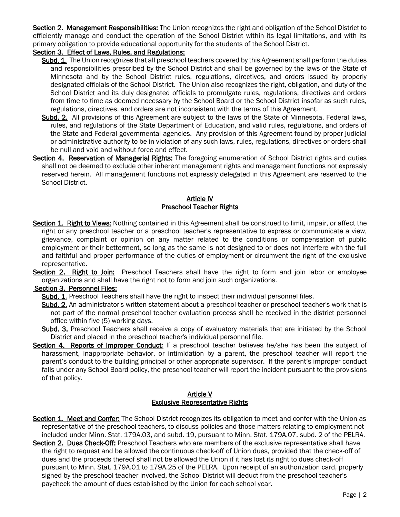Section 2. Management Responsibilities: The Union recognizes the right and obligation of the School District to efficiently manage and conduct the operation of the School District within its legal limitations, and with its primary obligation to provide educational opportunity for the students of the School District.

## Section 3. Effect of Laws, Rules, and Regulations:

- Subd. 1. The Union recognizes that all preschool teachers covered by this Agreement shall perform the duties and responsibilities prescribed by the School District and shall be governed by the laws of the State of Minnesota and by the School District rules, regulations, directives, and orders issued by properly designated officials of the School District. The Union also recognizes the right, obligation, and duty of the School District and its duly designated officials to promulgate rules, regulations, directives and orders from time to time as deemed necessary by the School Board or the School District insofar as such rules, regulations, directives, and orders are not inconsistent with the terms of this Agreement.
- Subd. 2. All provisions of this Agreement are subject to the laws of the State of Minnesota, Federal laws, rules, and regulations of the State Department of Education, and valid rules, regulations, and orders of the State and Federal governmental agencies. Any provision of this Agreement found by proper judicial or administrative authority to be in violation of any such laws, rules, regulations, directives or orders shall be null and void and without force and effect.
- Section 4. Reservation of Managerial Rights: The foregoing enumeration of School District rights and duties shall not be deemed to exclude other inherent management rights and management functions not expressly reserved herein. All management functions not expressly delegated in this Agreement are reserved to the School District.

### Article IV Preschool Teacher Rights

- <span id="page-3-0"></span>Section 1. Right to Views: Nothing contained in this Agreement shall be construed to limit, impair, or affect the right or any preschool teacher or a preschool teacher's representative to express or communicate a view, grievance, complaint or opinion on any matter related to the conditions or compensation of public employment or their betterment, so long as the same is not designed to or does not interfere with the full and faithful and proper performance of the duties of employment or circumvent the right of the exclusive representative.
- Section 2. Right to Join: Preschool Teachers shall have the right to form and join labor or employee organizations and shall have the right not to form and join such organizations.

## Section 3. Personnel Files:

- Subd. 1. Preschool Teachers shall have the right to inspect their individual personnel files.
- Subd. 2. An administrator's written statement about a preschool teacher or preschool teacher's work that is not part of the normal preschool teacher evaluation process shall be received in the district personnel office within five (5) working days.
- Subd. 3. Preschool Teachers shall receive a copy of evaluatory materials that are initiated by the School District and placed in the preschool teacher's individual personnel file.
- Section 4. Reports of Improper Conduct: If a preschool teacher believes he/she has been the subject of harassment, inappropriate behavior, or intimidation by a parent, the preschool teacher will report the parent's conduct to the building principal or other appropriate supervisor. If the parent's improper conduct falls under any School Board policy, the preschool teacher will report the incident pursuant to the provisions of that policy.

#### Article V Exclusive Representative Rights

- <span id="page-3-1"></span>Section 1. Meet and Confer: The School District recognizes its obligation to meet and confer with the Union as representative of the preschool teachers, to discuss policies and those matters relating to employment not included under Minn. Stat. 179A.03, and subd. 19, pursuant to Minn. Stat. 179A.07, subd. 2 of the PELRA.
- Section 2. Dues Check-Off: Preschool Teachers who are members of the exclusive representative shall have the right to request and be allowed the continuous check-off of Union dues, provided that the check-off of dues and the proceeds thereof shall not be allowed the Union if it has lost its right to dues check-off pursuant to Minn. Stat. 179A.01 to 179A.25 of the PELRA. Upon receipt of an authorization card, properly signed by the preschool teacher involved, the School District will deduct from the preschool teacher's paycheck the amount of dues established by the Union for each school year.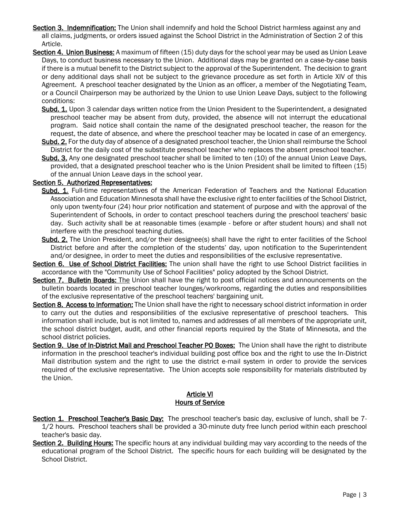- Section 3. Indemnification: The Union shall indemnify and hold the School District harmless against any and all claims, judgments, or orders issued against the School District in the Administration of Section 2 of this Article.
- Section 4. Union Business: A maximum of fifteen (15) duty days for the school year may be used as Union Leave Days, to conduct business necessary to the Union. Additional days may be granted on a case-by-case basis if there is a mutual benefit to the District subject to the approval of the Superintendent. The decision to grant or deny additional days shall not be subject to the grievance procedure as set forth in Article XIV of this Agreement. A preschool teacher designated by the Union as an officer, a member of the Negotiating Team, or a Council Chairperson may be authorized by the Union to use Union Leave Days, subject to the following conditions:
	- Subd. 1. Upon 3 calendar days written notice from the Union President to the Superintendent, a designated preschool teacher may be absent from duty, provided, the absence will not interrupt the educational program. Said notice shall contain the name of the designated preschool teacher, the reason for the request, the date of absence, and where the preschool teacher may be located in case of an emergency.
	- Subd. 2. For the duty day of absence of a designated preschool teacher, the Union shall reimburse the School District for the daily cost of the substitute preschool teacher who replaces the absent preschool teacher.
	- Subd. 3. Any one designated preschool teacher shall be limited to ten (10) of the annual Union Leave Days, provided, that a designated preschool teacher who is the Union President shall be limited to fifteen (15) of the annual Union Leave days in the school year.

#### Section 5. Authorized Representatives:

- Subd. 1. Full-time representatives of the American Federation of Teachers and the National Education Association and Education Minnesota shall have the exclusive right to enter facilities of the School District, only upon twenty-four (24) hour prior notification and statement of purpose and with the approval of the Superintendent of Schools, in order to contact preschool teachers during the preschool teachers' basic day. Such activity shall be at reasonable times (example - before or after student hours) and shall not interfere with the preschool teaching duties.
- Subd. 2. The Union President, and/or their designee(s) shall have the right to enter facilities of the School District before and after the completion of the students' day, upon notification to the Superintendent and/or designee, in order to meet the duties and responsibilities of the exclusive representative.
- Section 6. Use of School District Facilities: The union shall have the right to use School District facilities in accordance with the "Community Use of School Facilities" policy adopted by the School District.
- Section 7. Bulletin Boards: The Union shall have the right to post official notices and announcements on the bulletin boards located in preschool teacher lounges/workrooms, regarding the duties and responsibilities of the exclusive representative of the preschool teachers' bargaining unit.
- Section 8. Access to Information: The Union shall have the right to necessary school district information in order to carry out the duties and responsibilities of the exclusive representative of preschool teachers. This information shall include, but is not limited to, names and addresses of all members of the appropriate unit, the school district budget, audit, and other financial reports required by the State of Minnesota, and the school district policies.
- Section 9. Use of In-District Mail and Preschool Teacher PO Boxes: The Union shall have the right to distribute information in the preschool teacher's individual building post office box and the right to use the In-District Mail distribution system and the right to use the district e-mail system in order to provide the services required of the exclusive representative. The Union accepts sole responsibility for materials distributed by the Union.

### Article VI **Hours of Service**

- <span id="page-4-0"></span>Section 1. Preschool Teacher's Basic Day: The preschool teacher's basic day, exclusive of lunch, shall be 7-1/2 hours. Preschool teachers shall be provided a 30-minute duty free lunch period within each preschool teacher's basic day.
- Section 2. Building Hours: The specific hours at any individual building may vary according to the needs of the educational program of the School District. The specific hours for each building will be designated by the School District.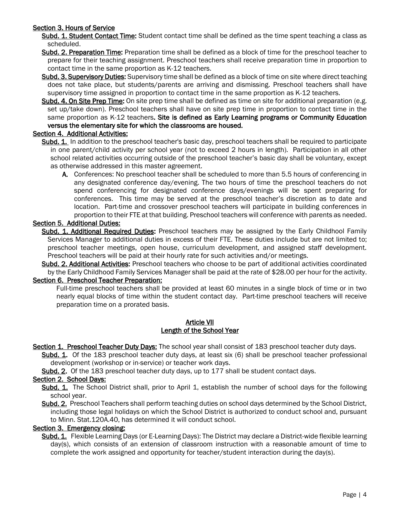### Section 3. Hours of Service

Subd. 1. Student Contact Time: Student contact time shall be defined as the time spent teaching a class as scheduled.

- Subd. 2. Preparation Time: Preparation time shall be defined as a block of time for the preschool teacher to prepare for their teaching assignment. Preschool teachers shall receive preparation time in proportion to contact time in the same proportion as K-12 teachers.
- Subd. 3. Supervisory Duties: Supervisory time shall be defined as a block of time on site where direct teaching does not take place, but students/parents are arriving and dismissing. Preschool teachers shall have supervisory time assigned in proportion to contact time in the same proportion as K-12 teachers.
- Subd. 4. On Site Prep Time: On site prep time shall be defined as time on site for additional preparation (e.g. set up/take down). Preschool teachers shall have on site prep time in proportion to contact time in the same proportion as K-12 teachers. Site is defined as Early Learning programs or Community Education versus the elementary site for which the classrooms are housed.

## Section 4. Additional Activities:

- Subd. 1. In addition to the preschool teacher's basic day, preschool teachers shall be required to participate in one parent/child activity per school year (not to exceed 2 hours in length). Participation in all other school related activities occurring outside of the preschool teacher's basic day shall be voluntary, except as otherwise addressed in this master agreement.
	- A. Conferences: No preschool teacher shall be scheduled to more than 5.5 hours of conferencing in any designated conference day/evening. The two hours of time the preschool teachers do not spend conferencing for designated conference days/evenings will be spent preparing for conferences. This time may be served at the preschool teacher's discretion as to date and location. Part-time and crossover preschool teachers will participate in building conferences in proportion to their FTE at that building. Preschool teachers will conference with parents as needed.

### Section 5. Additional Duties:

Subd. 1. Additional Required Duties: Preschool teachers may be assigned by the Early Childhool Family Services Manager to additional duties in excess of their FTE. These duties include but are not limited to; preschool teacher meetings, open house, curriculum development, and assigned staff development. Preschool teachers will be paid at their hourly rate for such activities and/or meetings.

Subd. 2. Additional Activities: Preschool teachers who choose to be part of additional activities coordinated by the Early Childhood Family Services Manager shall be paid at the rate of \$28.00 per hour for the activity.

## Section 6. Preschool Teacher Preparation:

Full-time preschool teachers shall be provided at least 60 minutes in a single block of time or in two nearly equal blocks of time within the student contact day. Part-time preschool teachers will receive preparation time on a prorated basis.

#### Article VII Length of the School Year

<span id="page-5-0"></span>Section 1. Preschool Teacher Duty Days: The school year shall consist of 183 preschool teacher duty days.

Subd. 1. Of the 183 preschool teacher duty days, at least six (6) shall be preschool teacher professional development (workshop or in-service) or teacher work days.

Subd. 2. Of the 183 preschool teacher duty days, up to 177 shall be student contact days.

#### Section 2. School Days:

Subd. 1. The School District shall, prior to April 1, establish the number of school days for the following school year.

Subd. 2. Preschool Teachers shall perform teaching duties on school days determined by the School District, including those legal holidays on which the School District is authorized to conduct school and, pursuant to Minn. Stat.120A.40, has determined it will conduct school.

#### Section 3. Emergency closing:

Subd. 1. Flexible Learning Days (or E-Learning Days): The District may declare a District-wide flexible learning day(s), which consists of an extension of classroom instruction with a reasonable amount of time to complete the work assigned and opportunity for teacher/student interaction during the day(s).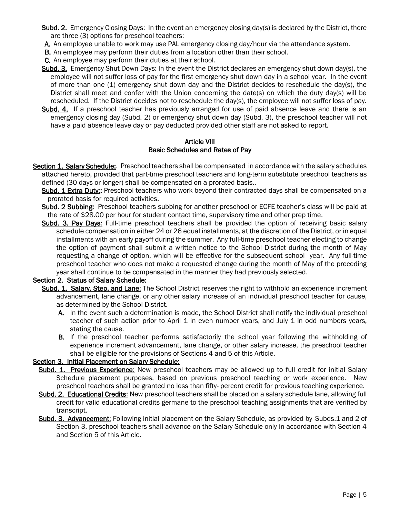- Subd. 2. Emergency Closing Days: In the event an emergency closing day(s) is declared by the District, there are three (3) options for preschool teachers:
- A. An employee unable to work may use PAL emergency closing day/hour via the attendance system.
- **B.** An employee may perform their duties from a location other than their school.
- C. An employee may perform their duties at their school.
- Subd. 3. Emergency Shut Down Days: In the event the District declares an emergency shut down day(s), the employee will not suffer loss of pay for the first emergency shut down day in a school year. In the event of more than one (1) emergency shut down day and the District decides to reschedule the day(s), the District shall meet and confer with the Union concerning the date(s) on which the duty day(s) will be rescheduled. If the District decides not to reschedule the day(s), the employee will not suffer loss of pay.
- Subd. 4. If a preschool teacher has previously arranged for use of paid absence leave and there is an emergency closing day (Subd. 2) or emergency shut down day (Subd. 3), the preschool teacher will not have a paid absence leave day or pay deducted provided other staff are not asked to report.

#### Article VIII Basic Schedules and Rates of Pay

<span id="page-6-0"></span>Section 1. Salary Schedule: Preschool teachers shall be compensated in accordance with the salary schedules attached hereto, provided that part-time preschool teachers and long-term substitute preschool teachers as defined (30 days or longer) shall be compensated on a prorated basis..

Subd. 1 Extra Duty:: Preschool teachers who work beyond their contracted days shall be compensated on a prorated basis for required activities.

- Subd. 2 Subbing: Preschool teachers subbing for another preschool or ECFE teacher's class will be paid at the rate of \$28.00 per hour for student contact time, supervisory time and other prep time.
- Subd. 3. Pay Days: Full-time preschool teachers shall be provided the option of receiving basic salary schedule compensation in either 24 or 26 equal installments, at the discretion of the District, or in equal installments with an early payoff during the summer. Any full-time preschool teacher electing to change the option of payment shall submit a written notice to the School District during the month of May requesting a change of option, which will be effective for the subsequent school year. Any full-time preschool teacher who does not make a requested change during the month of May of the preceding year shall continue to be compensated in the manner they had previously selected.

#### Section 2. Status of Salary Schedule:

- Subd. 1. Salary, Step, and Lane: The School District reserves the right to withhold an experience increment advancement, lane change, or any other salary increase of an individual preschool teacher for cause, as determined by the School District.
	- A. In the event such a determination is made, the School District shall notify the individual preschool teacher of such action prior to April 1 in even number years, and July 1 in odd numbers years, stating the cause.
	- **B.** If the preschool teacher performs satisfactorily the school year following the withholding of experience increment advancement, lane change, or other salary increase, the preschool teacher shall be eligible for the provisions of Sections 4 and 5 of this Article.

#### Section 3. Initial Placement on Salary Schedule:

- Subd. 1. Previous Experience: New preschool teachers may be allowed up to full credit for initial Salary Schedule placement purposes, based on previous preschool teaching or work experience. New preschool teachers shall be granted no less than fifty- percent credit for previous teaching experience.
- Subd. 2. Educational Credits: New preschool teachers shall be placed on a salary schedule lane, allowing full credit for valid educational credits germane to the preschool teaching assignments that are verified by transcript.
- Subd. 3. Advancement: Following initial placement on the Salary Schedule, as provided by Subds.1 and 2 of Section 3, preschool teachers shall advance on the Salary Schedule only in accordance with Section 4 and Section 5 of this Article.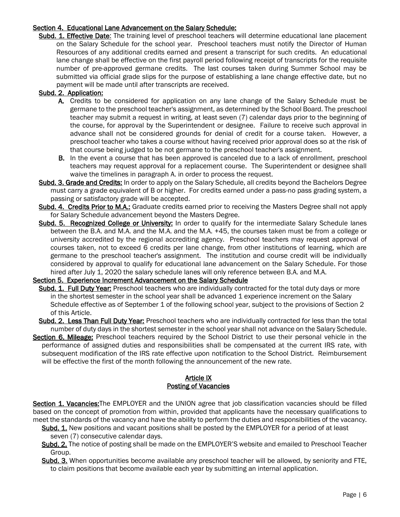### Section 4. Educational Lane Advancement on the Salary Schedule:

Subd. 1. Effective Date: The training level of preschool teachers will determine educational lane placement on the Salary Schedule for the school year. Preschool teachers must notify the Director of Human Resources of any additional credits earned and present a transcript for such credits. An educational lane change shall be effective on the first payroll period following receipt of transcripts for the requisite number of pre-approved germane credits. The last courses taken during Summer School may be submitted via official grade slips for the purpose of establishing a lane change effective date, but no payment will be made until after transcripts are received.

### Subd. 2. Application:

- A. Credits to be considered for application on any lane change of the Salary Schedule must be germane to the preschool teacher's assignment, as determined by the School Board. The preschool teacher may submit a request in writing, at least seven (7) calendar days prior to the beginning of the course, for approval by the Superintendent or designee. Failure to receive such approval in advance shall not be considered grounds for denial of credit for a course taken. However, a preschool teacher who takes a course without having received prior approval does so at the risk of that course being judged to be not germane to the preschool teacher's assignment.
- **B.** In the event a course that has been approved is canceled due to a lack of enrollment, preschool teachers may request approval for a replacement course. The Superintendent or designee shall waive the timelines in paragraph A. in order to process the request.
- Subd. 3. Grade and Credits: In order to apply on the Salary Schedule, all credits beyond the Bachelors Degree must carry a grade equivalent of B or higher. For credits earned under a pass-no pass grading system, a passing or satisfactory grade will be accepted.
- Subd. 4. Credits Prior to M.A.: Graduate credits earned prior to receiving the Masters Degree shall not apply for Salary Schedule advancement beyond the Masters Degree.
- Subd. 5. Recognized College or University: In order to qualify for the intermediate Salary Schedule lanes between the B.A. and M.A. and the M.A. and the M.A. +45, the courses taken must be from a college or university accredited by the regional accrediting agency. Preschool teachers may request approval of courses taken, not to exceed 6 credits per lane change, from other institutions of learning, which are germane to the preschool teacher's assignment. The institution and course credit will be individually considered by approval to qualify for educational lane advancement on the Salary Schedule. For those hired after July 1, 2020 the salary schedule lanes will only reference between B.A. and M.A.

#### Section 5. Experience Increment Advancement on the Salary Schedule

- Subd. 1. Full Duty Year: Preschool teachers who are individually contracted for the total duty days or more in the shortest semester in the school year shall be advanced 1 experience increment on the Salary Schedule effective as of September 1 of the following school year, subject to the provisions of Section 2 of this Article.
- Subd. 2. Less Than Full Duty Year: Preschool teachers who are individually contracted for less than the total number of duty days in the shortest semester in the school year shall not advance on the Salary Schedule.
- Section 6. Mileage: Preschool teachers required by the School District to use their personal vehicle in the performance of assigned duties and responsibilities shall be compensated at the current IRS rate, with subsequent modification of the IRS rate effective upon notification to the School District. Reimbursement will be effective the first of the month following the announcement of the new rate.

### Article IX Posting of Vacancies

<span id="page-7-0"></span>Section 1. Vacancies: The EMPLOYER and the UNION agree that job classification vacancies should be filled based on the concept of promotion from within, provided that applicants have the necessary qualifications to meet the standards of the vacancy and have the ability to perform the duties and responsibilities of the vacancy.

- Subd. 1. New positions and vacant positions shall be posted by the EMPLOYER for a period of at least
	- seven (7) consecutive calendar days.
- Subd. 2. The notice of posting shall be made on the EMPLOYER'S website and emailed to Preschool Teacher Group.
- Subd. 3. When opportunities become available any preschool teacher will be allowed, by seniority and FTE, to claim positions that become available each year by submitting an internal application.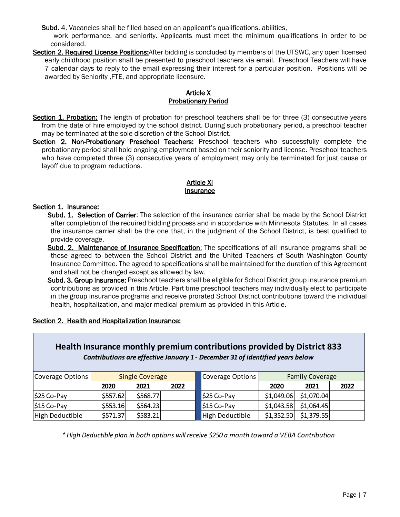Subd. 4. Vacancies shall be filled based on an applicant's qualifications, abilities,

work performance, and seniority. Applicants must meet the minimum qualifications in order to be considered.

Section 2. Required License Positions: After bidding is concluded by members of the UTSWC, any open licensed early childhood position shall be presented to preschool teachers via email. Preschool Teachers will have 7 calendar days to reply to the email expressing their interest for a particular position. Positions will be awarded by Seniority ,FTE, and appropriate licensure.

### Article X Probationary Period

- <span id="page-8-0"></span>Section 1. Probation: The length of probation for preschool teachers shall be for three (3) consecutive years from the date of hire employed by the school district. During such probationary period, a preschool teacher may be terminated at the sole discretion of the School District.
- Section 2. Non-Probationary Preschool Teachers: Preschool teachers who successfully complete the probationary period shall hold ongoing employment based on their seniority and license. Preschool teachers who have completed three (3) consecutive years of employment may only be terminated for just cause or layoff due to program reductions.

### Article XI **Insurance**

## <span id="page-8-1"></span>Section 1. Insurance:

- Subd. 1. Selection of Carrier: The selection of the insurance carrier shall be made by the School District after completion of the required bidding process and in accordance with Minnesota Statutes. In all cases the insurance carrier shall be the one that, in the judgment of the School District, is best qualified to provide coverage.
- Subd. 2. Maintenance of Insurance Specification: The specifications of all insurance programs shall be those agreed to between the School District and the United Teachers of South Washington County Insurance Committee. The agreed to specifications shall be maintained for the duration of this Agreement and shall not be changed except as allowed by law.
- Subd. 3. Group Insurance: Preschool teachers shall be eligible for School District group insurance premium contributions as provided in this Article. Part time preschool teachers may individually elect to participate in the group insurance programs and receive prorated School District contributions toward the individual health, hospitalization, and major medical premium as provided in this Article.

|                  |          |                        |      | Health Insurance monthly premium contributions provided by District 833       |                        |            |      |
|------------------|----------|------------------------|------|-------------------------------------------------------------------------------|------------------------|------------|------|
|                  |          |                        |      | Contributions are effective January 1 - December 31 of identified years below |                        |            |      |
| Coverage Options |          | <b>Single Coverage</b> |      | Coverage Options                                                              | <b>Family Coverage</b> |            |      |
|                  | 2020     | 2021                   | 2022 |                                                                               | 2020                   | 2021       | 2022 |
| $ $ \$25 Co-Pay  | \$557.62 | \$568.77               |      | \$25 Co-Pay                                                                   | \$1,049.06             | \$1,070.04 |      |
| $ $15 Co-Pay$    | \$553.16 | \$564.23               |      | \$15 Co-Pay                                                                   | \$1,043.58             | \$1,064.45 |      |
| High Deductible  | \$571.37 | \$583.21               |      | High Deductible                                                               | \$1,352.50             | \$1,379.55 |      |

## Section 2. Health and Hospitalization Insurance:

*\* High Deductible plan in both options will receive \$250 a month toward a VEBA Contribution*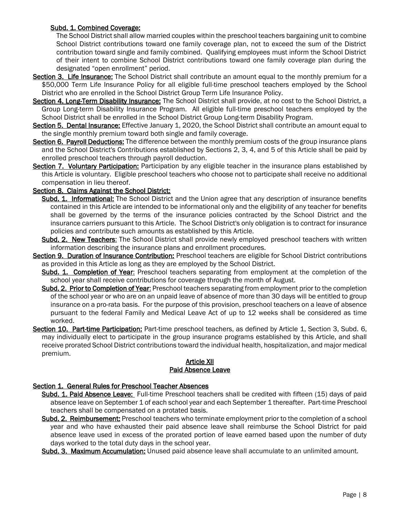## Subd. 1. Combined Coverage:

The School District shall allow married couples within the preschool teachers bargaining unit to combine School District contributions toward one family coverage plan, not to exceed the sum of the District contribution toward single and family combined. Qualifying employees must inform the School District of their intent to combine School District contributions toward one family coverage plan during the designated "open enrollment" period.

- Section 3. Life Insurance: The School District shall contribute an amount equal to the monthly premium for a \$50,000 Term Life Insurance Policy for all eligible full-time preschool teachers employed by the School District who are enrolled in the School District Group Term Life Insurance Policy.
- Section 4. Long-Term Disability Insurance: The School District shall provide, at no cost to the School District, a Group Long-term Disability Insurance Program. All eligible full-time preschool teachers employed by the School District shall be enrolled in the School District Group Long-term Disability Program.
- Section 5. Dental Insurance: Effective January 1, 2020, the School District shall contribute an amount equal to the single monthly premium toward both single and family coverage.
- Section 6. Payroll Deductions: The difference between the monthly premium costs of the group insurance plans and the School District's Contributions established by Sections 2, 3, 4, and 5 of this Article shall be paid by enrolled preschool teachers through payroll deduction.
- Section 7. Voluntary Participation: Participation by any eligible teacher in the insurance plans established by this Article is voluntary. Eligible preschool teachers who choose not to participate shall receive no additional compensation in lieu thereof.

## Section 8. Claims Against the School District:

- Subd. 1. Informational: The School District and the Union agree that any description of insurance benefits contained in this Article are intended to be informational only and the eligibility of any teacher for benefits shall be governed by the terms of the insurance policies contracted by the School District and the insurance carriers pursuant to this Article. The School District's only obligation is to contract for insurance policies and contribute such amounts as established by this Article.
- Subd. 2. New Teachers: The School District shall provide newly employed preschool teachers with written information describing the insurance plans and enrollment procedures.
- Section 9. Duration of Insurance Contribution: Preschool teachers are eligible for School District contributions as provided in this Article as long as they are employed by the School District.
	- Subd. 1. Completion of Year: Preschool teachers separating from employment at the completion of the school year shall receive contributions for coverage through the month of August.
	- Subd. 2. Prior to Completion of Year: Preschool teachers separating from employment prior to the completion of the school year or who are on an unpaid leave of absence of more than 30 days will be entitled to group insurance on a pro-rata basis. For the purpose of this provision, preschool teachers on a leave of absence pursuant to the federal Family and Medical Leave Act of up to 12 weeks shall be considered as time worked.
- Section 10. Part-time Participation: Part-time preschool teachers, as defined by Article 1, Section 3, Subd. 6, may individually elect to participate in the group insurance programs established by this Article, and shall receive prorated School District contributions toward the individual health, hospitalization, and major medical premium.

#### Article XII Paid Absence Leave

## <span id="page-9-0"></span>Section 1. General Rules for Preschool Teacher Absences

- Subd. 1. Paid Absence Leave: Full-time Preschool teachers shall be credited with fifteen (15) days of paid absence leave on September 1 of each school year and each September 1 thereafter. Part-time Preschool teachers shall be compensated on a protated basis.
- Subd. 2. Reimbursement: Preschool teachers who terminate employment prior to the completion of a school year and who have exhausted their paid absence leave shall reimburse the School District for paid absence leave used in excess of the prorated portion of leave earned based upon the number of duty days worked to the total duty days in the school year.
- Subd. 3. Maximum Accumulation: Unused paid absence leave shall accumulate to an unlimited amount.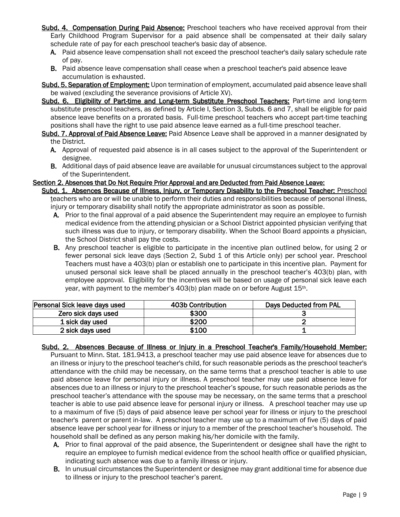- Subd. 4. Compensation During Paid Absence: Preschool teachers who have received approval from their Early Childhood Program Supervisor for a paid absence shall be compensated at their daily salary schedule rate of pay for each preschool teacher's basic day of absence.
	- A. Paid absence leave compensation shall not exceed the preschool teacher's daily salary schedule rate of pay.
	- **B.** Paid absence leave compensation shall cease when a preschool teacher's paid absence leave accumulation is exhausted.
- Subd. 5. Separation of Employment: Upon termination of employment, accumulated paid absence leave shall be waived (excluding the severance provisions of Article XV).
- Subd. 6. Eligibility of Part-time and Long-term Substitute Preschool Teachers: Part-time and long-term substitute preschool teachers, as defined by Article I, Section 3, Subds. 6 and 7, shall be eligible for paid absence leave benefits on a prorated basis. Full-time preschool teachers who accept part-time teaching positions shall have the right to use paid absence leave earned as a full-time preschool teacher.
- Subd. 7. Approval of Paid Absence Leave: Paid Absence Leave shall be approved in a manner designated by the District.
	- A. Approval of requested paid absence is in all cases subject to the approval of the Superintendent or designee.
	- B. Additional days of paid absence leave are available for unusual circumstances subject to the approval of the Superintendent.
- Section 2. Absences that Do Not Require Prior Approval and are Deducted from Paid Absence Leave:
	- Subd. 1. Absences Because of Illness, Injury, or Temporary Disability to the Preschool Teacher: Preschool teachers who are or will be unable to perform their duties and responsibilities because of personal illness, injury or temporary disability shall notify the appropriate administrator as soon as possible.
		- A. Prior to the final approval of a paid absence the Superintendent may require an employee to furnish medical evidence from the attending physician or a School District appointed physician verifying that such illness was due to injury, or temporary disability. When the School Board appoints a physician, the School District shall pay the costs.
		- B. Any preschool teacher is eligible to participate in the incentive plan outlined below, for using 2 or fewer personal sick leave days (Section 2, Subd 1 of this Article only) per school year. Preschool Teachers must have a 403(b) plan or establish one to participate in this incentive plan. Payment for unused personal sick leave shall be placed annually in the preschool teacher's 403(b) plan, with employee approval. Eligibility for the incentives will be based on usage of personal sick leave each year, with payment to the member's 403(b) plan made on or before August 15<sup>th</sup>.

| Personal Sick leave days used | 403b Contribution | Days Deducted from PAL |
|-------------------------------|-------------------|------------------------|
| Zero sick days used           | \$300             |                        |
| 1 sick day used               | \$200             |                        |
| 2 sick days used              | \$100             |                        |

- Subd. 2. Absences Because of Illness or Injury in a Preschool Teacher's Family/Household Member: Pursuant to Minn. Stat. 181.9413, a preschool teacher may use paid absence leave for absences due to an illness or injury to the preschool teacher's child, for such reasonable periods as the preschool teacher's attendance with the child may be necessary, on the same terms that a preschool teacher is able to use paid absence leave for personal injury or illness. A preschool teacher may use paid absence leave for absences due to an illness or injury to the preschool teacher's spouse, for such reasonable periods as the preschool teacher's attendance with the spouse may be necessary, on the same terms that a preschool teacher is able to use paid absence leave for personal injury or illness. A preschool teacher may use up to a maximum of five (5) days of paid absence leave per school year for illness or injury to the preschool teacher's parent or parent in-law. A preschool teacher may use up to a maximum of five (5) days of paid absence leave per school year for illness or injury to a member of the preschool teacher's household. The household shall be defined as any person making his/her domicile with the family.
	- A. Prior to final approval of the paid absence, the Superintendent or designee shall have the right to require an employee to furnish medical evidence from the school health office or qualified physician, indicating such absence was due to a family illness or injury.
	- B. In unusual circumstances the Superintendent or designee may grant additional time for absence due to illness or injury to the preschool teacher's parent.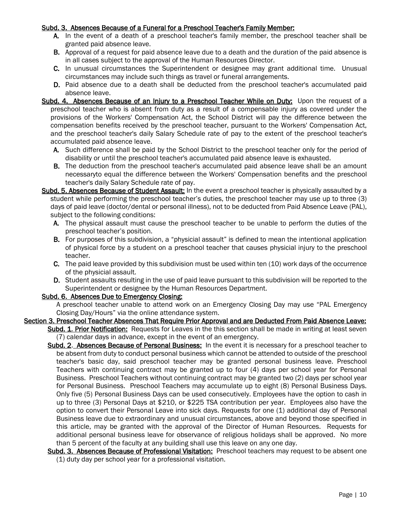#### Subd. 3. Absences Because of a Funeral for a Preschool Teacher's Family Member:

- A. In the event of a death of a preschool teacher's family member, the preschool teacher shall be granted paid absence leave.
- **B.** Approval of a request for paid absence leave due to a death and the duration of the paid absence is in all cases subject to the approval of the Human Resources Director.
- C. In unusual circumstances the Superintendent or designee may grant additional time. Unusual circumstances may include such things as travel or funeral arrangements.
- D. Paid absence due to a death shall be deducted from the preschool teacher's accumulated paid absence leave.
- Subd. 4. Absences Because of an Injury to a Preschool Teacher While on Duty: Upon the request of a preschool teacher who is absent from duty as a result of a compensable injury as covered under the provisions of the Workers' Compensation Act, the School District will pay the difference between the compensation benefits received by the preschool teacher, pursuant to the Workers' Compensation Act, and the preschool teacher's daily Salary Schedule rate of pay to the extent of the preschool teacher's accumulated paid absence leave.
	- A. Such difference shall be paid by the School District to the preschool teacher only for the period of disability or until the preschool teacher's accumulated paid absence leave is exhausted.
	- **B.** The deduction from the preschool teacher's accumulated paid absence leave shall be an amount necessaryto equal the difference between the Workers' Compensation benefits and the preschool teacher's daily Salary Schedule rate of pay.
- Subd. 5. Absences Because of Student Assault: In the event a preschool teacher is physically assaulted by a student while performing the preschool teacher's duties, the preschool teacher may use up to three (3) days of paid leave (doctor/dental or personal illness), not to be deducted from Paid Absence Leave (PAL), subject to the following conditions:
	- A. The physical assault must cause the preschool teacher to be unable to perform the duties of the preschool teacher's position.
	- B. For purposes of this subdivision, a "physicial assault" is defined to mean the intentional application of physical force by a student on a preschool teacher that causes physicial injury to the preschool teacher.
	- C. The paid leave provided by this subdivision must be used within ten (10) work days of the occurrence of the physicial assault.
	- D. Student assaults resulting in the use of paid leave pursuant to this subdivision will be reported to the Superintendent or designee by the Human Resources Department.

## Subd. 6. Absences Due to Emergency Closing:

A preschool teacher unable to attend work on an Emergency Closing Day may use "PAL Emergency Closing Day/Hours" via the online attendance system.

## Section 3. Preschool Teacher Absences That Require Prior Approval and are Deducted From Paid Absence Leave:

Subd. 1. Prior Notification: Requests for Leaves in the this section shall be made in writing at least seven (7) calendar days in advance, except in the event of an emergency.

- Subd. 2. Absences Because of Personal Business: In the event it is necessary for a preschool teacher to be absent from duty to conduct personal business which cannot be attended to outside of the preschool teacher's basic day, said preschool teacher may be granted personal business leave. Preschool Teachers with continuing contract may be granted up to four (4) days per school year for Personal Business. Preschool Teachers without continuing contract may be granted two (2) days per school year for Personal Business. Preschool Teachers may accumulate up to eight (8) Personal Business Days. Only five (5) Personal Business Days can be used consecutively. Employees have the option to cash in up to three (3) Personal Days at \$210, or \$225 TSA contribution per year. Employees also have the option to convert their Personal Leave into sick days. Requests for one (1) additional day of Personal Business leave due to extraordinary and unusual circumstances, above and beyond those specified in this article, may be granted with the approval of the Director of Human Resources. Requests for additional personal business leave for observance of religious holidays shall be approved. No more than 5 percent of the faculty at any building shall use this leave on any one day.
- Subd. 3. Absences Because of Professional Visitation: Preschool teachers may request to be absent one (1) duty day per school year for a professional visitation.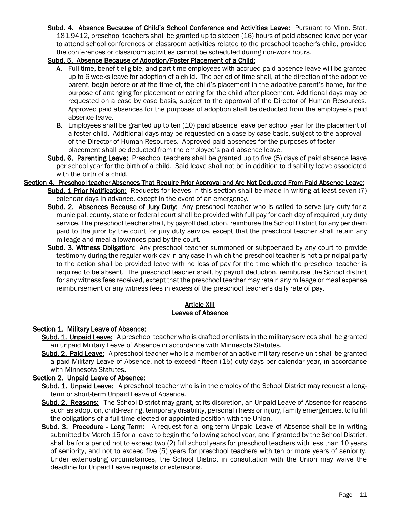Subd. 4. Absence Because of Child's School Conference and Activities Leave: Pursuant to Minn. Stat. 181.9412, preschool teachers shall be granted up to sixteen (16) hours of paid absence leave per year to attend school conferences or classroom activities related to the preschool teacher's child, provided the conferences or classroom activities cannot be scheduled during non-work hours.

### Subd. 5. Absence Because of Adoption/Foster Placement of a Child:

- A. Full time, benefit eligible, and part-time employees with accrued paid absence leave will be granted up to 6 weeks leave for adoption of a child. The period of time shall, at the direction of the adoptive parent, begin before or at the time of, the child's placement in the adoptive parent's home, for the purpose of arranging for placement or caring for the child after placement. Additional days may be requested on a case by case basis, subject to the approval of the Director of Human Resources. Approved paid absences for the purposes of adoption shall be deducted from the employee's paid absence leave.
- B. Employees shall be granted up to ten (10) paid absence leave per school year for the placement of a foster child. Additional days may be requested on a case by case basis, subject to the approval of the Director of Human Resources. Approved paid absences for the purposes of foster placement shall be deducted from the employee's paid absence leave.
- Subd. 6. Parenting Leave: Preschool teachers shall be granted up to five (5) days of paid absence leave per school year for the birth of a child. Said leave shall not be in addition to disability leave associated with the birth of a child.
- Section 4. Preschool teacher Absences That Require Prior Approval and Are Not Deducted From Paid Absence Leave: Subd. 1 Prior Notification: Requests for leaves in this section shall be made in writing at least seven (7) calendar days in advance, except in the event of an emergency.
	- Subd. 2. Absences Because of Jury Duty: Any preschool teacher who is called to serve jury duty for a municipal, county, state or federal court shall be provided with full pay for each day of required jury duty service. The preschool teacher shall, by payroll deduction, reimburse the School District for any per diem paid to the juror by the court for jury duty service, except that the preschool teacher shall retain any mileage and meal allowances paid by the court.
	- Subd. 3. Witness Obligation: Any preschool teacher summoned or subpoenaed by any court to provide testimony during the regular work day in any case in which the preschool teacher is not a principal party to the action shall be provided leave with no loss of pay for the time which the preschool teacher is required to be absent. The preschool teacher shall, by payroll deduction, reimburse the School district for any witness fees received, except that the preschool teacher may retain any mileage or meal expense reimbursement or any witness fees in excess of the preschool teacher's daily rate of pay.

### **Article XIII** Leaves of Absence

#### <span id="page-12-0"></span>Section 1. Military Leave of Absence:

- Subd. 1. Unpaid Leave: A preschool teacher who is drafted or enlists in the military services shall be granted an unpaid Military Leave of Absence in accordance with Minnesota Statutes.
- Subd. 2. Paid Leave: A preschool teacher who is a member of an active military reserve unit shall be granted a paid Military Leave of Absence, not to exceed fifteen (15) duty days per calendar year, in accordance with Minnesota Statutes.

#### Section 2. Unpaid Leave of Absence:

- Subd. 1. Unpaid Leave: A preschool teacher who is in the employ of the School District may request a longterm or short-term Unpaid Leave of Absence.
- Subd. 2. Reasons: The School District may grant, at its discretion, an Unpaid Leave of Absence for reasons such as adoption, child-rearing, temporary disability, personal illness or injury, family emergencies, to fulfill the obligations of a full-time elected or appointed position with the Union.
- Subd. 3. Procedure Long Term: A request for a long-term Unpaid Leave of Absence shall be in writing submitted by March 15 for a leave to begin the following school year, and if granted by the School District, shall be for a period not to exceed two (2) full school years for preschool teachers with less than 10 years of seniority, and not to exceed five (5) years for preschool teachers with ten or more years of seniority. Under extenuating circumstances, the School District in consultation with the Union may waive the deadline for Unpaid Leave requests or extensions.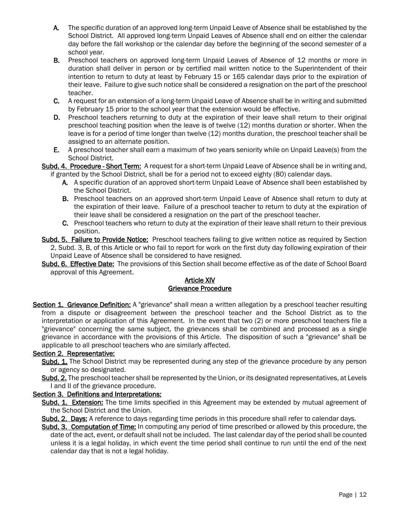- A. The specific duration of an approved long-term Unpaid Leave of Absence shall be established by the School District. All approved long-term Unpaid Leaves of Absence shall end on either the calendar day before the fall workshop or the calendar day before the beginning of the second semester of a school year.
- B. Preschool teachers on approved long-term Unpaid Leaves of Absence of 12 months or more in duration shall deliver in person or by certified mail written notice to the Superintendent of their intention to return to duty at least by February 15 or 165 calendar days prior to the expiration of their leave. Failure to give such notice shall be considered a resignation on the part of the preschool teacher.
- C. A request for an extension of a long-term Unpaid Leave of Absence shall be in writing and submitted by February 15 prior to the school year that the extension would be effective.
- D. Preschool teachers returning to duty at the expiration of their leave shall return to their original preschool teaching position when the leave is of twelve (12) months duration or shorter. When the leave is for a period of time longer than twelve (12) months duration, the preschool teacher shall be assigned to an alternate position.
- E. A preschool teacher shall earn a maximum of two years seniority while on Unpaid Leave(s) from the School District.

Subd. 4. Procedure - Short Term: A request for a short-term Unpaid Leave of Absence shall be in writing and, if granted by the School District, shall be for a period not to exceed eighty (80) calendar days.

- A. A specific duration of an approved short-term Unpaid Leave of Absence shall been established by the School District.
- B. Preschool teachers on an approved short-term Unpaid Leave of Absence shall return to duty at the expiration of their leave. Failure of a preschool teacher to return to duty at the expiration of their leave shall be considered a resignation on the part of the preschool teacher.
- C. Preschool teachers who return to duty at the expiration of their leave shall return to their previous position.
- Subd. 5. Failure to Provide Notice: Preschool teachers failing to give written notice as required by Section 2, Subd. 3, B, of this Article or who fail to report for work on the first duty day following expiration of their Unpaid Leave of Absence shall be considered to have resigned.
- <span id="page-13-0"></span>Subd. 6. Effective Date: The provisions of this Section shall become effective as of the date of School Board approval of this Agreement.

### Article XIV Grievance Procedure

Section 1. Grievance Definition: A "grievance" shall mean a written allegation by a preschool teacher resulting from a dispute or disagreement between the preschool teacher and the School District as to the interpretation or application of this Agreement. In the event that two (2) or more preschool teachers file a "grievance" concerning the same subject, the grievances shall be combined and processed as a single grievance in accordance with the provisions of this Article. The disposition of such a "grievance" shall be applicable to all preschool teachers who are similarly affected.

## Section 2. Representative:

- Subd. 1. The School District may be represented during any step of the grievance procedure by any person or agency so designated.
- Subd. 2. The preschool teacher shall be represented by the Union, or its designated representatives, at Levels I and II of the grievance procedure.

## Section 3. Definitions and Interpretations:

- Subd. 1. Extension: The time limits specified in this Agreement may be extended by mutual agreement of the School District and the Union.
- Subd. 2. Days: A reference to days regarding time periods in this procedure shall refer to calendar days.
- Subd. 3. Computation of Time: In computing any period of time prescribed or allowed by this procedure, the date of the act, event, or default shall not be included. The last calendar day of the period shall be counted unless it is a legal holiday, in which event the time period shall continue to run until the end of the next calendar day that is not a legal holiday.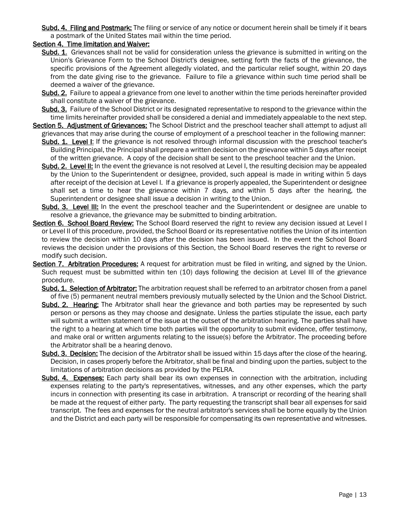Subd. 4. Filing and Postmark: The filing or service of any notice or document herein shall be timely if it bears a postmark of the United States mail within the time period.

## Section 4. Time limitation and Waiver:

- Subd. 1. Grievances shall not be valid for consideration unless the grievance is submitted in writing on the Union's Grievance Form to the School District's designee, setting forth the facts of the grievance, the specific provisions of the Agreement allegedly violated, and the particular relief sought, within 20 days from the date giving rise to the grievance. Failure to file a grievance within such time period shall be deemed a waiver of the grievance.
- Subd. 2. Failure to appeal a grievance from one level to another within the time periods hereinafter provided shall constitute a waiver of the grievance.
- Subd. 3. Failure of the School District or its designated representative to respond to the grievance within the time limits hereinafter provided shall be considered a denial and immediately appealable to the next step.
- Section 5. Adjustment of Grievances: The School District and the preschool teacher shall attempt to adjust all grievances that may arise during the course of employment of a preschool teacher in the following manner:
	- Subd. 1. Level I: If the grievance is not resolved through informal discussion with the preschool teacher's Building Principal, the Principal shall prepare a written decision on the grievance within 5 days after receipt of the written grievance. A copy of the decision shall be sent to the preschool teacher and the Union.
	- Subd. 2. Level II: In the event the grievance is not resolved at Level I, the resulting decision may be appealed by the Union to the Superintendent or designee, provided, such appeal is made in writing within 5 days after receipt of the decision at Level I. If a grievance is properly appealed, the Superintendent or designee shall set a time to hear the grievance within 7 days, and within 5 days after the hearing, the Superintendent or designee shall issue a decision in writing to the Union.
	- Subd. 3. Level III: In the event the preschool teacher and the Superintendent or designee are unable to resolve a grievance, the grievance may be submitted to binding arbitration.
- Section 6. School Board Review: The School Board reserved the right to review any decision issued at Level I or Level II of this procedure, provided, the School Board or its representative notifies the Union of its intention to review the decision within 10 days after the decision has been issued. In the event the School Board reviews the decision under the provisions of this Section, the School Board reserves the right to reverse or modify such decision.
- Section 7. Arbitration Procedures: A request for arbitration must be filed in writing, and signed by the Union. Such request must be submitted within ten (10) days following the decision at Level III of the grievance procedure.
	- Subd. 1. Selection of Arbitrator: The arbitration request shall be referred to an arbitrator chosen from a panel of five (5) permanent neutral members previously mutually selected by the Union and the School District.
	- Subd. 2. Hearing: The Arbitrator shall hear the grievance and both parties may be represented by such person or persons as they may choose and designate. Unless the parties stipulate the issue, each party will submit a written statement of the issue at the outset of the arbitration hearing. The parties shall have the right to a hearing at which time both parties will the opportunity to submit evidence, offer testimony, and make oral or written arguments relating to the issue(s) before the Arbitrator. The proceeding before the Arbitrator shall be a hearing denovo.
	- Subd. 3. Decision: The decision of the Arbitrator shall be issued within 15 days after the close of the hearing. Decision, in cases properly before the Arbitrator, shall be final and binding upon the parties, subject to the limitations of arbitration decisions as provided by the PELRA.
	- Subd. 4. Expenses: Each party shall bear its own expenses in connection with the arbitration, including expenses relating to the party's representatives, witnesses, and any other expenses, which the party incurs in connection with presenting its case in arbitration. A transcript or recording of the hearing shall be made at the request of either party. The party requesting the transcript shall bear all expenses for said transcript. The fees and expenses for the neutral arbitrator's services shall be borne equally by the Union and the District and each party will be responsible for compensating its own representative and witnesses.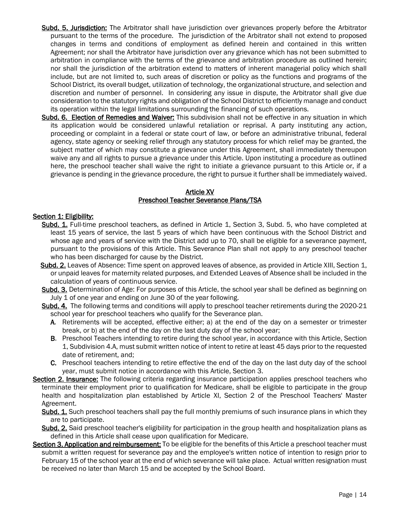- Subd. 5. Jurisdiction: The Arbitrator shall have jurisdiction over grievances properly before the Arbitrator pursuant to the terms of the procedure. The jurisdiction of the Arbitrator shall not extend to proposed changes in terms and conditions of employment as defined herein and contained in this written Agreement; nor shall the Arbitrator have jurisdiction over any grievance which has not been submitted to arbitration in compliance with the terms of the grievance and arbitration procedure as outlined herein; nor shall the jurisdiction of the arbitration extend to matters of inherent managerial policy which shall include, but are not limited to, such areas of discretion or policy as the functions and programs of the School District, its overall budget, utilization of technology, the organizational structure, and selection and discretion and number of personnel. In considering any issue in dispute, the Arbitrator shall give due consideration to the statutory rights and obligation of the School District to efficiently manage and conduct its operation within the legal limitations surrounding the financing of such operations.
- Subd. 6. Election of Remedies and Waiver: This subdivision shall not be effective in any situation in which its application would be considered unlawful retaliation or reprisal. A party instituting any action, proceeding or complaint in a federal or state court of law, or before an administrative tribunal, federal agency, state agency or seeking relief through any statutory process for which relief may be granted, the subject matter of which may constitute a grievance under this Agreement, shall immediately thereupon waive any and all rights to pursue a grievance under this Article. Upon instituting a procedure as outlined here, the preschool teacher shall waive the right to initiate a grievance pursuant to this Article or, if a grievance is pending in the grievance procedure, the right to pursue it further shall be immediately waived.

#### Article XV Preschool Teacher Severance Plans/TSA

### <span id="page-15-0"></span>Section 1: Eligibility:

- Subd. 1. Full-time preschool teachers, as defined in Article 1, Section 3, Subd. 5, who have completed at least 15 years of service, the last 5 years of which have been continuous with the School District and whose age and years of service with the District add up to 70, shall be eligible for a severance payment, pursuant to the provisions of this Article. This Severance Plan shall not apply to any preschool teacher who has been discharged for cause by the District.
- Subd. 2. Leaves of Absence: Time spent on approved leaves of absence, as provided in Article XIII, Section 1, or unpaid leaves for maternity related purposes, and Extended Leaves of Absence shall be included in the calculation of years of continuous service.
- Subd. 3. Determination of Age: For purposes of this Article, the school year shall be defined as beginning on July 1 of one year and ending on June 30 of the year following.
- Subd. 4. The following terms and conditions will apply to preschool teacher retirements during the 2020-21 school year for preschool teachers who qualify for the Severance plan.
	- A. Retirements will be accepted, effective either; a) at the end of the day on a semester or trimester break, or b) at the end of the day on the last duty day of the school year;
	- B. Preschool Teachers intending to retire during the school year, in accordance with this Article, Section 1, Subdivision 4.A, must submit written notice of intent to retire at least 45 days prior to the requested date of retirement, and;
	- C. Preschool teachers intending to retire effective the end of the day on the last duty day of the school year, must submit notice in accordance with this Article, Section 3.
- Section 2. Insurance: The following criteria regarding insurance participation applies preschool teachers who terminate their employment prior to qualification for Medicare, shall be eligible to participate in the group health and hospitalization plan established by Article XI, Section 2 of the Preschool Teachers' Master Agreement.
	- Subd. 1. Such preschool teachers shall pay the full monthly premiums of such insurance plans in which they are to participate.
	- Subd. 2. Said preschool teacher's eligibility for participation in the group health and hospitalization plans as defined in this Article shall cease upon qualification for Medicare.
- Section 3. Application and reimbursement: To be eligible for the benefits of this Article a preschool teacher must submit a written request for severance pay and the employee's written notice of intention to resign prior to February 15 of the school year at the end of which severance will take place. Actual written resignation must be received no later than March 15 and be accepted by the School Board.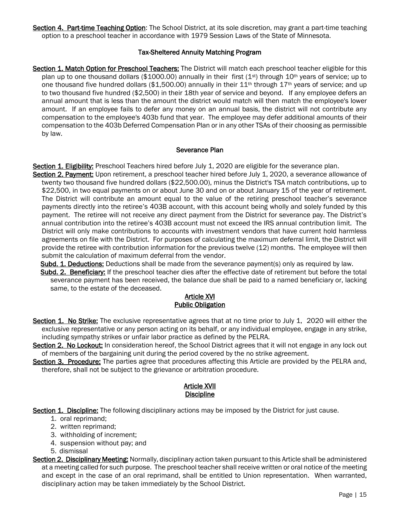Section 4. Part-time Teaching Option: The School District, at its sole discretion, may grant a part-time teaching option to a preschool teacher in accordance with 1979 Session Laws of the State of Minnesota.

## Tax-Sheltered Annuity Matching Program

Section 1. Match Option for Preschool Teachers: The District will match each preschool teacher eligible for this plan up to one thousand dollars (\$1000.00) annually in their first (1st) through 10<sup>th</sup> years of service; up to one thousand five hundred dollars (\$1,500.00) annually in their  $11<sup>th</sup>$  through  $17<sup>th</sup>$  years of service; and up to two thousand five hundred (\$2,500) in their 18th year of service and beyond. If any employee defers an annual amount that is less than the amount the district would match will then match the employee's lower amount. If an employee fails to defer any money on an annual basis, the district will not contribute any compensation to the employee's 403b fund that year. The employee may defer additional amounts of their compensation to the 403b Deferred Compensation Plan or in any other TSAs of their choosing as permissible by law.

### Severance Plan

Section 1. Eligibility: Preschool Teachers hired before July 1, 2020 are eligible for the severance plan.

Section 2. Payment: Upon retirement, a preschool teacher hired before July 1, 2020, a severance allowance of twenty two thousand five hundred dollars (\$22,500.00), minus the District's TSA match contributions, up to \$22,500, in two equal payments on or about June 30 and on or about January 15 of the year of retirement. The District will contribute an amount equal to the value of the retiring preschool teacher's severance payments directly into the retiree's 403B account, with this account being wholly and solely funded by this payment. The retiree will not receive any direct payment from the District for severance pay. The District's annual contribution into the retiree's 403B account must not exceed the IRS annual contribution limit. The District will only make contributions to accounts with investment vendors that have current hold harmless agreements on file with the District. For purposes of calculating the maximum deferral limit, the District will provide the retiree with contribution information for the previous twelve (12) months. The employee will then submit the calculation of maximum deferral from the vendor.

Subd. 1. Deductions: Deductions shall be made from the severance payment(s) only as required by law.

Subd. 2. Beneficiary: If the preschool teacher dies after the effective date of retirement but before the total severance payment has been received, the balance due shall be paid to a named beneficiary or, lacking same, to the estate of the deceased.

#### Article XVI Public Obligation

<span id="page-16-0"></span>Section 1. No Strike: The exclusive representative agrees that at no time prior to July 1, 2020 will either the exclusive representative or any person acting on its behalf, or any individual employee, engage in any strike, including sympathy strikes or unfair labor practice as defined by the PELRA.

Section 2. No Lockout: In consideration hereof, the School District agrees that it will not engage in any lock out of members of the bargaining unit during the period covered by the no strike agreement.

<span id="page-16-1"></span>Section 3. Procedure: The parties agree that procedures affecting this Article are provided by the PELRA and, therefore, shall not be subject to the grievance or arbitration procedure.

### Article XVII **Discipline**

Section 1. Discipline: The following disciplinary actions may be imposed by the District for just cause.

- 1. oral reprimand;
- 2. written reprimand;
- 3. withholding of increment;
- 4. suspension without pay; and
- 5. dismissal
- Section 2. Disciplinary Meeting: Normally, disciplinary action taken pursuant to this Article shall be administered at a meeting called for such purpose. The preschool teacher shall receive written or oral notice of the meeting and except in the case of an oral reprimand, shall be entitled to Union representation. When warranted, disciplinary action may be taken immediately by the School District.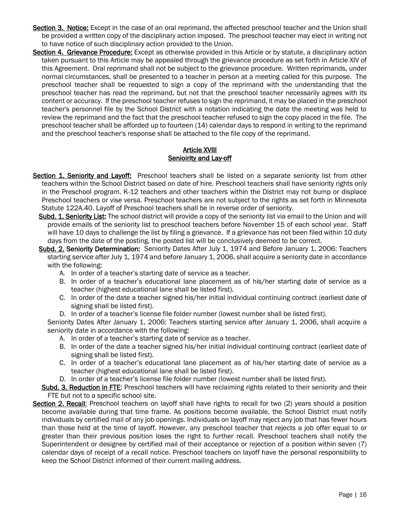- Section 3. Notice: Except in the case of an oral reprimand, the affected preschool teacher and the Union shall be provided a written copy of the disciplinary action imposed. The preschool teacher may elect in writing not to have notice of such disciplinary action provided to the Union.
- Section 4. Grievance Procedure: Except as otherwise provided in this Article or by statute, a disciplinary action taken pursuant to this Article may be appealed through the grievance procedure as set forth in Article XIV of this Agreement. Oral reprimand shall not be subject to the grievance procedure. Written reprimands, under normal circumstances, shall be presented to a teacher in person at a meeting called for this purpose. The preschool teacher shall be requested to sign a copy of the reprimand with the understanding that the preschool teacher has read the reprimand, but not that the preschool teacher necessarily agrees with its content or accuracy. If the preschool teacher refuses to sign the reprimand, it may be placed in the preschool teacher's personnel file by the School District with a notation indicating the date the meeting was held to review the reprimand and the fact that the preschool teacher refused to sign the copy placed in the file. The preschool teacher shall be afforded up to fourteen (14) calendar days to respond in writing to the reprimand and the preschool teacher's response shall be attached to the file copy of the reprimand.

## Article XVIII Senioirity and Lay-off

- <span id="page-17-0"></span>Section 1. Seniority and Layoff: Preschool teachers shall be listed on a separate seniority list from other teachers within the School District based on date of hire. Preschool teachers shall have seniority rights only in the Preschool program. K-12 teachers and other teachers within the District may not bump or displace Preschool teachers or vise versa. Preschool teachers are not subject to the rights as set forth in Minnesota Statute 122A.40. Layoff of Preschool teachers shall be in reverse order of seniority.
	- Subd. 1. Seniority List: The school district will provide a copy of the seniority list via email to the Union and will provide emails of the seniority list to preschool teachers before November 15 of each school year. Staff will have 10 days to challenge the list by filing a grievance. If a grievance has not been filed within 10 duty days from the date of the posting, the posted list will be conclusively deemed to be correct.
	- Subd. 2. Seniority Determination: Seniority Dates After July 1, 1974 and Before January 1, 2006: Teachers starting service after July 1, 1974 and before January 1, 2006, shall acquire a seniority date in accordance with the following:
		- A. In order of a teacher's starting date of service as a teacher.
		- B. In order of a teacher's educational lane placement as of his/her starting date of service as a teacher (highest educational lane shall be listed first).
		- C. In order of the date a teacher signed his/her initial individual continuing contract (earliest date of signing shall be listed first).
		- D. In order of a teacher's license file folder number (lowest number shall be listed first).

Seniority Dates After January 1, 2006: Teachers starting service after January 1, 2006, shall acquire a seniority date in accordance with the following:

- A. In order of a teacher's starting date of service as a teacher.
- B. In order of the date a teacher signed his/her initial individual continuing contract (earliest date of signing shall be listed first).
- C. In order of a teacher's educational lane placement as of his/her starting date of service as a teacher (highest educational lane shall be listed first).
- D. In order of a teacher's license file folder number (lowest number shall be listed first).

Subd. 3. Reduction in FTE: Preschool teachers will have reclaiming rights related to their seniority and their FTE but not to a specific school site.

Section 2. Recall: Preschool teachers on layoff shall have rights to recall for two (2) years should a position become available during that time frame. As positions become available, the School District must notify individuals by certified mail of any job openings. Individuals on layoff may reject any job that has fewer hours than those held at the time of layoff. However, any preschool teacher that rejects a job offer equal to or greater than their previous position loses the right to further recall. Preschool teachers shall notify the Superintendent or designee by certified mail of their acceptance or rejection of a position within seven (7) calendar days of receipt of a recall notice. Preschool teachers on layoff have the personal responsibility to keep the School District informed of their current mailing address.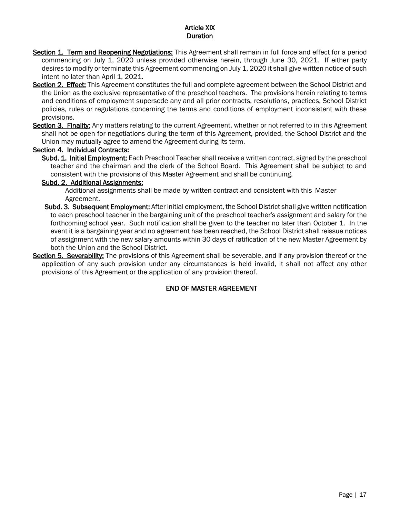## Article XIX Duration

- <span id="page-18-0"></span>Section 1. Term and Reopening Negotiations: This Agreement shall remain in full force and effect for a period commencing on July 1, 2020 unless provided otherwise herein, through June 30, 2021. If either party desires to modify or terminate this Agreement commencing on July 1, 2020 it shall give written notice of such intent no later than April 1, 2021.
- Section 2. Effect: This Agreement constitutes the full and complete agreement between the School District and the Union as the exclusive representative of the preschool teachers. The provisions herein relating to terms and conditions of employment supersede any and all prior contracts, resolutions, practices, School District policies, rules or regulations concerning the terms and conditions of employment inconsistent with these provisions.
- Section 3. Finality: Any matters relating to the current Agreement, whether or not referred to in this Agreement shall not be open for negotiations during the term of this Agreement, provided, the School District and the Union may mutually agree to amend the Agreement during its term.

## Section 4. Individual Contracts:

Subd. 1. Initial Employment: Each Preschool Teacher shall receive a written contract, signed by the preschool teacher and the chairman and the clerk of the School Board. This Agreement shall be subject to and consistent with the provisions of this Master Agreement and shall be continuing.

## Subd. 2. Additional Assignments:

Additional assignments shall be made by written contract and consistent with this Master Agreement.

- Subd. 3. Subsequent Employment: After initial employment, the School District shall give written notification to each preschool teacher in the bargaining unit of the preschool teacher's assignment and salary for the forthcoming school year. Such notification shall be given to the teacher no later than October 1. In the event it is a bargaining year and no agreement has been reached, the School District shall reissue notices of assignment with the new salary amounts within 30 days of ratification of the new Master Agreement by both the Union and the School District.
- Section 5. Severability: The provisions of this Agreement shall be severable, and if any provision thereof or the application of any such provision under any circumstances is held invalid, it shall not affect any other provisions of this Agreement or the application of any provision thereof.

## END OF MASTER AGREEMENT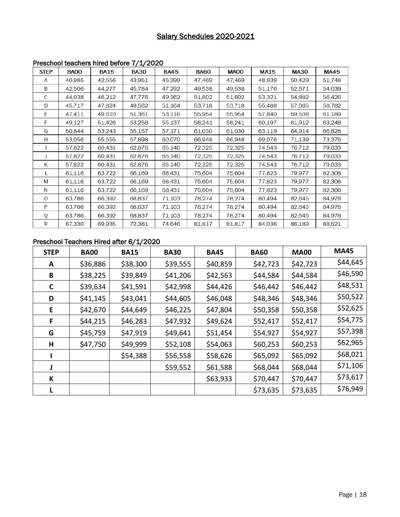# Salary Schedules 2020-2021

|             |             |             | $\mathbf{r}$ |             |             |             |             |             |             |
|-------------|-------------|-------------|--------------|-------------|-------------|-------------|-------------|-------------|-------------|
| <b>STEP</b> | <b>BA00</b> | <b>BA15</b> | <b>BA30</b>  | <b>BA45</b> | <b>BA60</b> | <b>MA00</b> | <b>MA15</b> | <b>MA30</b> | <b>MA45</b> |
| A           | 40.985      | 42,556      | 43,951       | 45,399      | 47,469      | 47,469      | 48.939      | 50.429      | 51,748      |
| B           | 42,506      | 44,277      | 45,784       | 47,292      | 49,538      | 49.538      | 51,176      | 52,671      | 54,039      |
| C           | 44,038      | 46,212      | 47,776       | 49,362      | 51,602      | 51,602      | 53,321      | 54,882      | 56,426      |
| D           | 45,717      | 47,824      | 49,562       | 51,164      | 53,718      | 53,718      | 55,488      | 57,085      | 58,782      |
| E           | 47.411      | 49.610      | 51,361       | 53,116      | 55,954      | 55,954      | 57,840      | 59,508      | 61,189      |
| F           | 49,127      | 51,426      | 53,258       | 55,137      | 58,241      | 58,241      | 60,197      | 61,912      | 63,248      |
| G           | 50.844      | 53,243      | 55,157       | 57,171      | 61,030      | 61,030      | 63,119      | 64.914      | 66,828      |
| Н           | 53,056      | 55,555      | 57,898       | 60,070      | 66,948      | 66,948      | 69,076      | 71,139      | 73,376      |
|             | 57,822      | 60,431      | 62,876       | 65,140      | 72,325      | 72,325      | 74,543      | 76,712      | 79,033      |
|             | 57,822      | 60,431      | 62,876       | 65,140      | 72,325      | 72,325      | 74,543      | 76,712      | 79,033      |
| Κ           | 57,822      | 60,431      | 62,876       | 65,140      | 72,325      | 72,325      | 74,543      | 76,712      | 79,033      |
|             | 61,116      | 63,722      | 66,169       | 68,431      | 75,604      | 75,604      | 77,823      | 79,977      | 82,308      |
| M           | 61,116      | 63,722      | 66,169       | 68,431      | 75,604      | 75,604      | 77,823      | 79,977      | 82,308      |
| N           | 61,116      | 63,722      | 66,169       | 68,431      | 75,604      | 75,604      | 77,823      | 79,977      | 82,308      |
| $\circ$     | 63,786      | 66,392      | 68,837       | 71,103      | 78,274      | 78,274      | 80,494      | 82,645      | 84,978      |
| P           | 63,786      | 66,392      | 68,837       | 71,103      | 78,274      | 78,274      | 80,494      | 82,645      | 84,978      |
| Q           | 63,786      | 66,392      | 68,837       | 71,103      | 78,274      | 78,274      | 80.494      | 82,645      | 84,978      |
| R           | 67,330      | 69,935      | 72,381       | 74,646      | 81,817      | 81,817      | 84,036      | 86,189      | 88,521      |

## <span id="page-19-0"></span>Preschool teachers hired before 7/1/2020

#### Preschool Teachers Hired after 6/1/2020

| <b>STEP</b>  | <b>BA00</b> | <b>BA15</b> | <b>BA30</b> | <b>BA45</b> | <b>BA60</b> | <b>MA00</b> | <b>MA45</b> |
|--------------|-------------|-------------|-------------|-------------|-------------|-------------|-------------|
| A            | \$36,886    | \$38,300    | \$39,555    | \$40,859    | \$42,723    | \$42,723    | \$44,645    |
| В            | \$38,225    | \$39,849    | \$41,206    | \$42,563    | \$44,584    | \$44,584    | \$46,590    |
| $\mathsf{C}$ | \$39,634    | \$41,591    | \$42,998    | \$44,426    | \$46,442    | \$46,442    | \$48,531    |
| D            | \$41,145    | \$43,041    | \$44,605    | \$46,048    | \$48,346    | \$48,346    | \$50,522    |
| E            | \$42,670    | \$44,649    | \$46,225    | \$47,804    | \$50,358    | \$50,358    | \$52,625    |
| F            | \$44,215    | \$46,283    | \$47,932    | \$49,624    | \$52,417    | \$52,417    | \$54,775    |
| G            | \$45,759    | \$47,919    | \$49,641    | \$51,454    | \$54,927    | \$54,927    | \$57,398    |
| н            | \$47,750    | \$49,999    | \$52,108    | \$54,063    | \$60,253    | \$60,253    | \$62,965    |
|              |             | \$54,388    | \$56,558    | \$58,626    | \$65,092    | \$65,092    | \$68,021    |
|              |             |             | \$59,552    | \$61,588    | \$68,044    | \$68,044    | \$71,106    |
| К            |             |             |             | \$63,933    | \$70,447    | \$70,447    | \$73,617    |
|              |             |             |             |             | \$73,635    | \$73,635    | \$76,949    |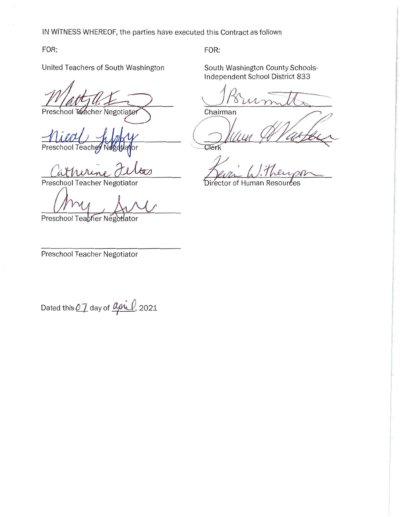IN WITNESS WHEREOF, the parties have executed this Contract as follows

FOR:

United Teachers of South Washington

FOR:<br>United Teachers of South Washin<br>Mathy My My Teschool Teacher Negotiater IN WITNESS WHEREOF, the parties have ex<br>
FOR:<br>
United Teachers of South Washington<br>
Preschool Teacher Negotiator<br>
Preschool Teacher Negotiator<br>
Call Mulline Julian Preschool Teacher Negotiator<br>
Preschool Teacher Negotiator

nical highly Preschool Teach

Catherine Felta

Preschool Teacher Negotiator

y IN WITNESS WHEREOF, the parties have express the parties have express the CR:<br>
United Teachers of South Washington<br>
The California Contractor<br>
The California Contractor<br>
Preschool Teacher Negotiator<br>
Preschool Teacher Nego

Preschool Teabher Négotiator

Preschool Teacher Negotiator

FOR:

South Washington County Schools-Independent School District 833

Porumitte Therman<br>Chairman Willy

Clerk

Bevin Witherson Deven Wither

Dated this  $\varrho\gamma$  day of  $\varrho$ MU, 2021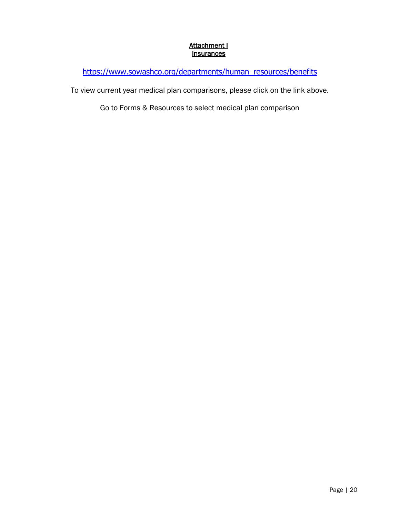## Attachment I **Insurances**

<span id="page-21-0"></span>[https://www.sowashco.org/departments/human\\_resources/benefits](https://www.sowashco.org/departments/human_resources/benefits)

To view current year medical plan comparisons, please click on the link above.

Go to Forms & Resources to select medical plan comparison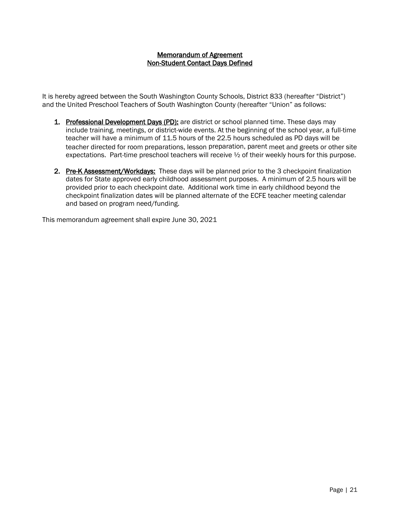## Memorandum of Agreement Non-Student Contact Days Defined

<span id="page-22-0"></span>It is hereby agreed between the South Washington County Schools, District 833 (hereafter "District") and the United Preschool Teachers of South Washington County (hereafter "Union" as follows:

- 1. Professional Development Days (PD): are district or school planned time. These days may include training, meetings, or district-wide events. At the beginning of the school year, a full-time teacher will have a minimum of 11.5 hours of the 22.5 hours scheduled as PD days will be teacher directed for room preparations, lesson preparation, parent meet and greets or other site expectations. Part-time preschool teachers will receive  $\frac{1}{2}$  of their weekly hours for this purpose.
- 2. Pre-K Assessment/Workdays: These days will be planned prior to the 3 checkpoint finalization dates for State approved early childhood assessment purposes. A minimum of 2.5 hours will be provided prior to each checkpoint date. Additional work time in early childhood beyond the checkpoint finalization dates will be planned alternate of the ECFE teacher meeting calendar and based on program need/funding.

This memorandum agreement shall expire June 30, 2021